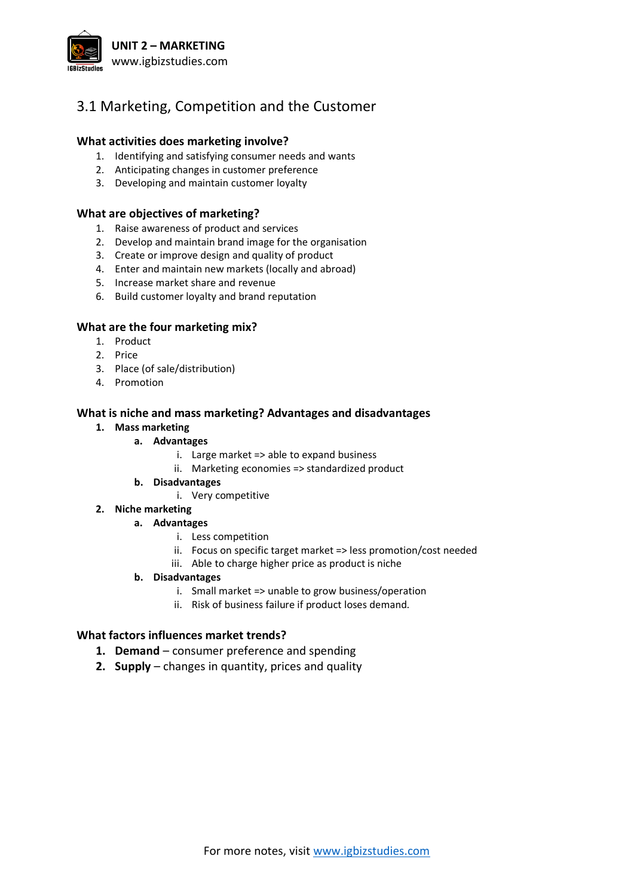

# 3.1 Marketing, Competition and the Customer

## **What activities does marketing involve?**

- 1. Identifying and satisfying consumer needs and wants
- 2. Anticipating changes in customer preference
- 3. Developing and maintain customer loyalty

#### **What are objectives of marketing?**

- 1. Raise awareness of product and services
- 2. Develop and maintain brand image for the organisation
- 3. Create or improve design and quality of product
- 4. Enter and maintain new markets (locally and abroad)
- 5. Increase market share and revenue
- 6. Build customer loyalty and brand reputation

## **What are the four marketing mix?**

- 1. Product
- 2. Price
- 3. Place (of sale/distribution)
- 4. Promotion

#### **What is niche and mass marketing? Advantages and disadvantages**

## **1. Mass marketing**

# **a. Advantages**

- i. Large market => able to expand business
- ii. Marketing economies => standardized product
- **b. Disadvantages**
	- i. Very competitive

#### **2. Niche marketing**

#### **a. Advantages**

- i. Less competition
- ii. Focus on specific target market => less promotion/cost needed
- iii. Able to charge higher price as product is niche

## **b. Disadvantages**

- i. Small market => unable to grow business/operation
- ii. Risk of business failure if product loses demand.

# **What factors influences market trends?**

- **1. Demand** consumer preference and spending
- **2. Supply** changes in quantity, prices and quality